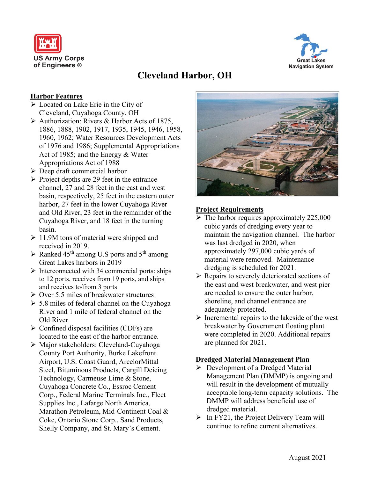



# **Cleveland Harbor, OH**

## **Harbor Features**

- **Example 1** Located on Lake Erie in the City of Cleveland, Cuyahoga County, OH
- $\triangleright$  Authorization: Rivers & Harbor Acts of 1875, 1886, 1888, 1902, 1917, 1935, 1945, 1946, 1958, 1960, 1962; Water Resources Development Acts of 1976 and 1986; Supplemental Appropriations Act of 1985; and the Energy & Water Appropriations Act of 1988
- $\triangleright$  Deep draft commercial harbor
- $\triangleright$  Project depths are 29 feet in the entrance channel, 27 and 28 feet in the east and west basin, respectively, 25 feet in the eastern outer harbor, 27 feet in the lower Cuyahoga River and Old River, 23 feet in the remainder of the Cuyahoga River, and 18 feet in the turning basin.
- $\geq 11.9M$  tons of material were shipped and received in 2019.
- $\triangleright$  Ranked 45<sup>th</sup> among U.S ports and 5<sup>th</sup> among Great Lakes harbors in 2019
- $\triangleright$  Interconnected with 34 commercial ports: ships to 12 ports, receives from 19 ports, and ships and receives to/from 3 ports
- $\geq$  Over 5.5 miles of breakwater structures
- $\geq 5.8$  miles of federal channel on the Cuyahoga River and 1 mile of federal channel on the Old River
- Confined disposal facilities (CDFs) are located to the east of the harbor entrance.
- Major stakeholders: Cleveland-Cuyahoga County Port Authority, Burke Lakefront Airport, U.S. Coast Guard, ArcelorMittal Steel, Bituminous Products, Cargill Deicing Technology, Carmeuse Lime & Stone, Cuyahoga Concrete Co., Essroc Cement Corp., Federal Marine Terminals Inc., Fleet Supplies Inc., Lafarge North America, Marathon Petroleum, Mid-Continent Coal & Coke, Ontario Stone Corp., Sand Products, Shelly Company, and St. Mary's Cement.



## **Project Requirements**

- $\triangleright$  The harbor requires approximately 225,000 cubic yards of dredging every year to maintain the navigation channel. The harbor was last dredged in 2020, when approximately 297,000 cubic yards of material were removed. Maintenance dredging is scheduled for 2021.
- $\triangleright$  Repairs to severely deteriorated sections of the east and west breakwater, and west pier are needed to ensure the outer harbor, shoreline, and channel entrance are adequately protected.
- $\triangleright$  Incremental repairs to the lakeside of the west breakwater by Government floating plant were completed in 2020. Additional repairs are planned for 2021.

## **Dredged Material Management Plan**

- Development of a Dredged Material Management Plan (DMMP) is ongoing and will result in the development of mutually acceptable long-term capacity solutions. The DMMP will address beneficial use of dredged material.
- $\triangleright$  In FY21, the Project Delivery Team will continue to refine current alternatives.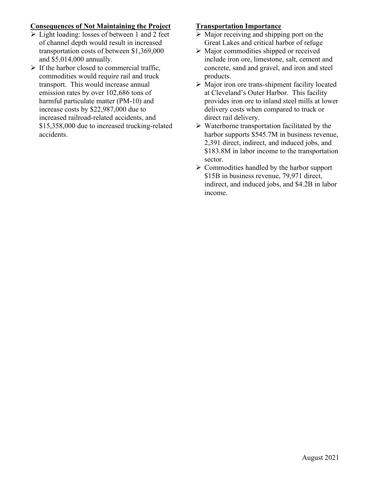# **Consequences of Not Maintaining the Project**

- Light loading: losses of between 1 and 2 feet of channel depth would result in increased transportation costs of between \$1,369,000 and \$5,014,000 annually.
- $\triangleright$  If the harbor closed to commercial traffic, commodities would require rail and truck transport. This would increase annual emission rates by over 102,686 tons of harmful particulate matter (PM-10) and increase costs by \$22,987,000 due to increased railroad-related accidents, and \$15,358,000 due to increased trucking-related accidents.

# **Transportation Importance**

- $\triangleright$  Major receiving and shipping port on the Great Lakes and critical harbor of refuge
- $\triangleright$  Major commodities shipped or received include iron ore, limestone, salt, cement and concrete, sand and gravel, and iron and steel products.
- $\triangleright$  Major iron ore trans-shipment facility located at Cleveland's Outer Harbor. This facility provides iron ore to inland steel mills at lower delivery costs when compared to truck or direct rail delivery.
- $\triangleright$  Waterborne transportation facilitated by the harbor supports \$545.7M in business revenue, 2,391 direct, indirect, and induced jobs, and \$183.8M in labor income to the transportation sector.
- $\triangleright$  Commodities handled by the harbor support \$15B in business revenue, 79,971 direct, indirect, and induced jobs, and \$4.2B in labor income.